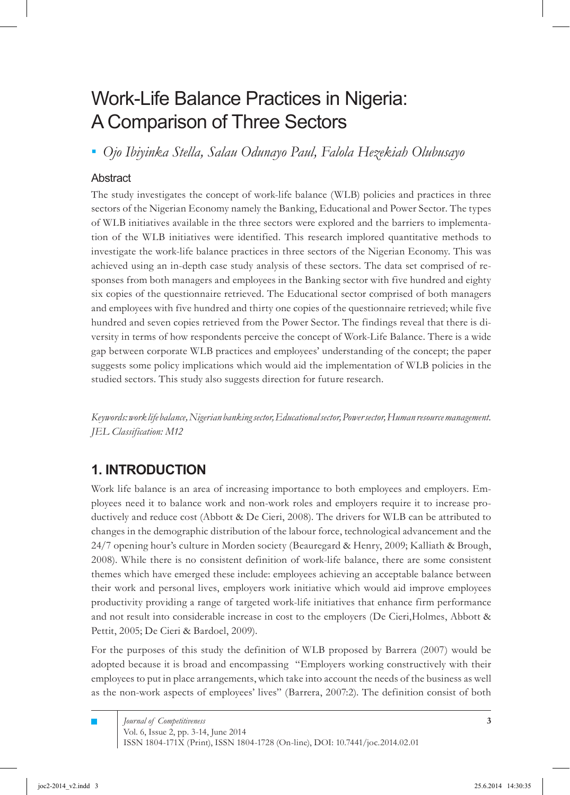# Work-Life Balance Practices in Nigeria: A Comparison of Three Sectors

*Ojo Ibiyinka Stella, Salau Odunayo Paul, Falola Hezekiah Olubusayo ▪*

### **Abstract**

The study investigates the concept of work-life balance (WLB) policies and practices in three sectors of the Nigerian Economy namely the Banking, Educational and Power Sector. The types of WLB initiatives available in the three sectors were explored and the barriers to implementation of the WLB initiatives were identified. This research implored quantitative methods to investigate the work-life balance practices in three sectors of the Nigerian Economy. This was achieved using an in-depth case study analysis of these sectors. The data set comprised of responses from both managers and employees in the Banking sector with five hundred and eighty six copies of the questionnaire retrieved. The Educational sector comprised of both managers and employees with five hundred and thirty one copies of the questionnaire retrieved; while five hundred and seven copies retrieved from the Power Sector. The findings reveal that there is diversity in terms of how respondents perceive the concept of Work-Life Balance. There is a wide gap between corporate WLB practices and employees' understanding of the concept; the paper suggests some policy implications which would aid the implementation of WLB policies in the studied sectors. This study also suggests direction for future research.

*Keywords: work life balance, Nigerian banking sector, Educational sector, Power sector, Human resource management. JEL Classification: M12*

### **1. INTRODUCTION**

Work life balance is an area of increasing importance to both employees and employers. Employees need it to balance work and non-work roles and employers require it to increase productively and reduce cost (Abbott & De Cieri, 2008). The drivers for WLB can be attributed to changes in the demographic distribution of the labour force, technological advancement and the 24/7 opening hour's culture in Morden society (Beauregard & Henry, 2009; Kalliath & Brough, 2008). While there is no consistent definition of work-life balance, there are some consistent themes which have emerged these include: employees achieving an acceptable balance between their work and personal lives, employers work initiative which would aid improve employees productivity providing a range of targeted work-life initiatives that enhance firm performance and not result into considerable increase in cost to the employers (De Cieri,Holmes, Abbott & Pettit, 2005; De Cieri & Bardoel, 2009).

For the purposes of this study the definition of WLB proposed by Barrera (2007) would be adopted because it is broad and encompassing "Employers working constructively with their employees to put in place arrangements, which take into account the needs of the business as well as the non-work aspects of employees' lives" (Barrera, 2007:2). The definition consist of both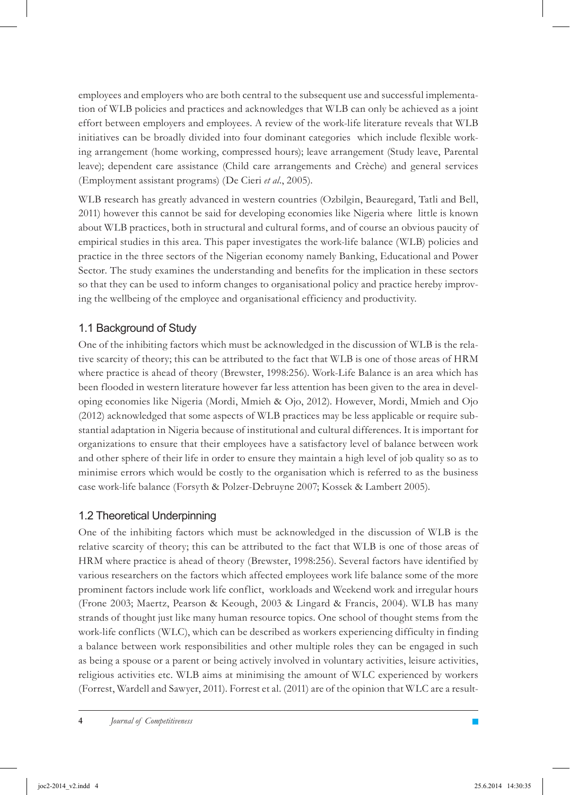employees and employers who are both central to the subsequent use and successful implementation of WLB policies and practices and acknowledges that WLB can only be achieved as a joint effort between employers and employees. A review of the work-life literature reveals that WLB initiatives can be broadly divided into four dominant categories which include flexible working arrangement (home working, compressed hours); leave arrangement (Study leave, Parental leave); dependent care assistance (Child care arrangements and Crèche) and general services (Employment assistant programs) (De Cieri *et al*., 2005).

WLB research has greatly advanced in western countries (Ozbilgin, Beauregard, Tatli and Bell, 2011) however this cannot be said for developing economies like Nigeria where little is known about WLB practices, both in structural and cultural forms, and of course an obvious paucity of empirical studies in this area. This paper investigates the work-life balance (WLB) policies and practice in the three sectors of the Nigerian economy namely Banking, Educational and Power Sector. The study examines the understanding and benefits for the implication in these sectors so that they can be used to inform changes to organisational policy and practice hereby improving the wellbeing of the employee and organisational efficiency and productivity.

### 1.1 Background of Study

One of the inhibiting factors which must be acknowledged in the discussion of WLB is the relative scarcity of theory; this can be attributed to the fact that WLB is one of those areas of HRM where practice is ahead of theory (Brewster, 1998:256). Work-Life Balance is an area which has been flooded in western literature however far less attention has been given to the area in developing economies like Nigeria (Mordi, Mmieh & Ojo, 2012). However, Mordi, Mmieh and Ojo (2012) acknowledged that some aspects of WLB practices may be less applicable or require substantial adaptation in Nigeria because of institutional and cultural differences. It is important for organizations to ensure that their employees have a satisfactory level of balance between work and other sphere of their life in order to ensure they maintain a high level of job quality so as to minimise errors which would be costly to the organisation which is referred to as the business case work-life balance (Forsyth & Polzer-Debruyne 2007; Kossek & Lambert 2005).

### 1.2 Theoretical Underpinning

One of the inhibiting factors which must be acknowledged in the discussion of WLB is the relative scarcity of theory; this can be attributed to the fact that WLB is one of those areas of HRM where practice is ahead of theory (Brewster, 1998:256). Several factors have identified by various researchers on the factors which affected employees work life balance some of the more prominent factors include work life conflict, workloads and Weekend work and irregular hours (Frone 2003; Maertz, Pearson & Keough, 2003 & Lingard & Francis, 2004). WLB has many strands of thought just like many human resource topics. One school of thought stems from the work-life conflicts (WLC), which can be described as workers experiencing difficulty in finding a balance between work responsibilities and other multiple roles they can be engaged in such as being a spouse or a parent or being actively involved in voluntary activities, leisure activities, religious activities etc. WLB aims at minimising the amount of WLC experienced by workers (Forrest, Wardell and Sawyer, 2011). Forrest et al. (2011) are of the opinion that WLC are a result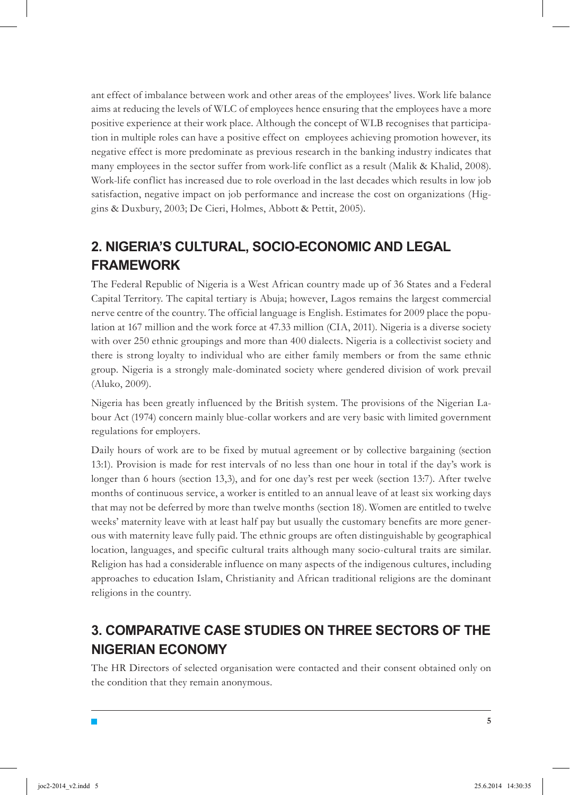ant effect of imbalance between work and other areas of the employees' lives. Work life balance aims at reducing the levels of WLC of employees hence ensuring that the employees have a more positive experience at their work place. Although the concept of WLB recognises that participation in multiple roles can have a positive effect on employees achieving promotion however, its negative effect is more predominate as previous research in the banking industry indicates that many employees in the sector suffer from work-life conflict as a result (Malik & Khalid, 2008). Work-life conflict has increased due to role overload in the last decades which results in low job satisfaction, negative impact on job performance and increase the cost on organizations (Higgins & Duxbury, 2003; De Cieri, Holmes, Abbott & Pettit, 2005).

# **2. Nigeria's Cultural, Socio-Economic and Legal Framework**

The Federal Republic of Nigeria is a West African country made up of 36 States and a Federal Capital Territory. The capital tertiary is Abuja; however, Lagos remains the largest commercial nerve centre of the country. The official language is English. Estimates for 2009 place the population at 167 million and the work force at 47.33 million (CIA, 2011). Nigeria is a diverse society with over 250 ethnic groupings and more than 400 dialects. Nigeria is a collectivist society and there is strong loyalty to individual who are either family members or from the same ethnic group. Nigeria is a strongly male-dominated society where gendered division of work prevail (Aluko, 2009).

Nigeria has been greatly influenced by the British system. The provisions of the Nigerian Labour Act (1974) concern mainly blue-collar workers and are very basic with limited government regulations for employers.

Daily hours of work are to be fixed by mutual agreement or by collective bargaining (section 13:1). Provision is made for rest intervals of no less than one hour in total if the day's work is longer than 6 hours (section 13,3), and for one day's rest per week (section 13:7). After twelve months of continuous service, a worker is entitled to an annual leave of at least six working days that may not be deferred by more than twelve months (section 18). Women are entitled to twelve weeks' maternity leave with at least half pay but usually the customary benefits are more generous with maternity leave fully paid. The ethnic groups are often distinguishable by geographical location, languages, and specific cultural traits although many socio-cultural traits are similar. Religion has had a considerable influence on many aspects of the indigenous cultures, including approaches to education Islam, Christianity and African traditional religions are the dominant religions in the country.

# **3. Comparative case studies on three sectors of the Nigerian Economy**

The HR Directors of selected organisation were contacted and their consent obtained only on the condition that they remain anonymous.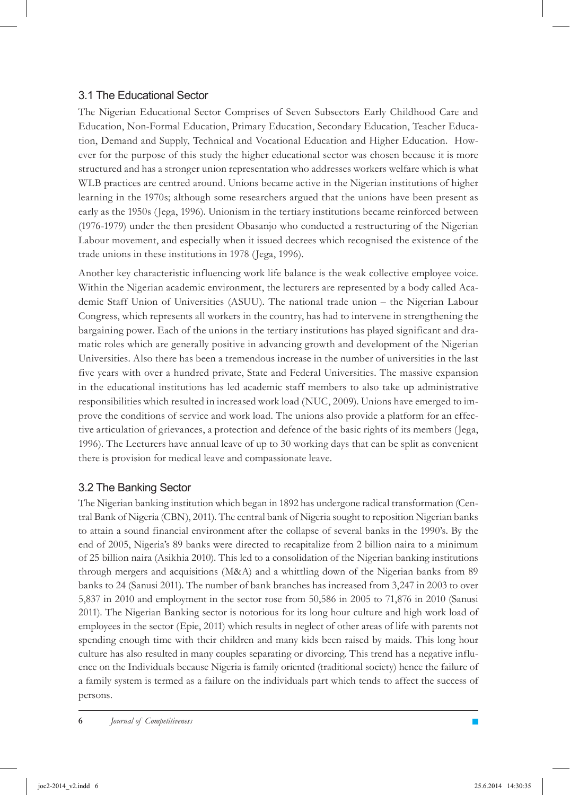### 3.1 The Educational Sector

The Nigerian Educational Sector Comprises of Seven Subsectors Early Childhood Care and Education, Non-Formal Education, Primary Education, Secondary Education, Teacher Education, Demand and Supply, Technical and Vocational Education and Higher Education. However for the purpose of this study the higher educational sector was chosen because it is more structured and has a stronger union representation who addresses workers welfare which is what WLB practices are centred around. Unions became active in the Nigerian institutions of higher learning in the 1970s; although some researchers argued that the unions have been present as early as the 1950s (Jega, 1996). Unionism in the tertiary institutions became reinforced between (1976-1979) under the then president Obasanjo who conducted a restructuring of the Nigerian Labour movement, and especially when it issued decrees which recognised the existence of the trade unions in these institutions in 1978 (Jega, 1996).

Another key characteristic influencing work life balance is the weak collective employee voice. Within the Nigerian academic environment, the lecturers are represented by a body called Academic Staff Union of Universities (ASUU). The national trade union – the Nigerian Labour Congress, which represents all workers in the country, has had to intervene in strengthening the bargaining power. Each of the unions in the tertiary institutions has played significant and dramatic roles which are generally positive in advancing growth and development of the Nigerian Universities. Also there has been a tremendous increase in the number of universities in the last five years with over a hundred private, State and Federal Universities. The massive expansion in the educational institutions has led academic staff members to also take up administrative responsibilities which resulted in increased work load (NUC, 2009). Unions have emerged to improve the conditions of service and work load. The unions also provide a platform for an effective articulation of grievances, a protection and defence of the basic rights of its members (Jega, 1996). The Lecturers have annual leave of up to 30 working days that can be split as convenient there is provision for medical leave and compassionate leave.

### 3.2 The Banking Sector

The Nigerian banking institution which began in 1892 has undergone radical transformation (Central Bank of Nigeria (CBN), 2011). The central bank of Nigeria sought to reposition Nigerian banks to attain a sound financial environment after the collapse of several banks in the 1990's. By the end of 2005, Nigeria's 89 banks were directed to recapitalize from 2 billion naira to a minimum of 25 billion naira (Asikhia 2010). This led to a consolidation of the Nigerian banking institutions through mergers and acquisitions (M&A) and a whittling down of the Nigerian banks from 89 banks to 24 (Sanusi 2011). The number of bank branches has increased from 3,247 in 2003 to over 5,837 in 2010 and employment in the sector rose from 50,586 in 2005 to 71,876 in 2010 (Sanusi 2011). The Nigerian Banking sector is notorious for its long hour culture and high work load of employees in the sector (Epie, 2011) which results in neglect of other areas of life with parents not spending enough time with their children and many kids been raised by maids. This long hour culture has also resulted in many couples separating or divorcing. This trend has a negative influence on the Individuals because Nigeria is family oriented (traditional society) hence the failure of a family system is termed as a failure on the individuals part which tends to affect the success of persons.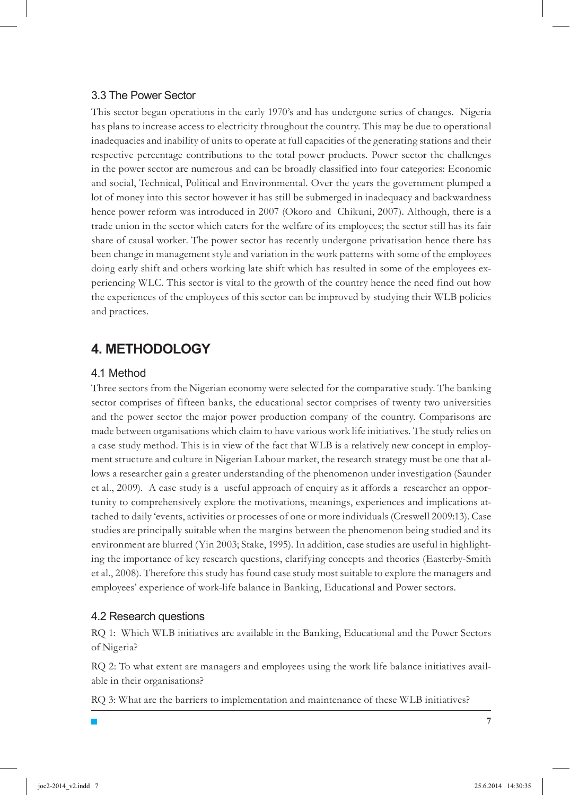### 3.3 The Power Sector

This sector began operations in the early 1970's and has undergone series of changes. Nigeria has plans to increase access to electricity throughout the country. This may be due to operational inadequacies and inability of units to operate at full capacities of the generating stations and their respective percentage contributions to the total power products. Power sector the challenges in the power sector are numerous and can be broadly classified into four categories: Economic and social, Technical, Political and Environmental. Over the years the government plumped a lot of money into this sector however it has still be submerged in inadequacy and backwardness hence power reform was introduced in 2007 (Okoro and Chikuni, 2007). Although, there is a trade union in the sector which caters for the welfare of its employees; the sector still has its fair share of causal worker. The power sector has recently undergone privatisation hence there has been change in management style and variation in the work patterns with some of the employees doing early shift and others working late shift which has resulted in some of the employees experiencing WLC. This sector is vital to the growth of the country hence the need find out how the experiences of the employees of this sector can be improved by studying their WLB policies and practices.

### **4. Methodology**

#### 4.1 Method

Three sectors from the Nigerian economy were selected for the comparative study. The banking sector comprises of fifteen banks, the educational sector comprises of twenty two universities and the power sector the major power production company of the country. Comparisons are made between organisations which claim to have various work life initiatives. The study relies on a case study method. This is in view of the fact that WLB is a relatively new concept in employment structure and culture in Nigerian Labour market, the research strategy must be one that allows a researcher gain a greater understanding of the phenomenon under investigation (Saunder et al., 2009). A case study is a useful approach of enquiry as it affords a researcher an opportunity to comprehensively explore the motivations, meanings, experiences and implications attached to daily 'events, activities or processes of one or more individuals (Creswell 2009:13). Case studies are principally suitable when the margins between the phenomenon being studied and its environment are blurred (Yin 2003; Stake, 1995). In addition, case studies are useful in highlighting the importance of key research questions, clarifying concepts and theories (Easterby-Smith et al., 2008). Therefore this study has found case study most suitable to explore the managers and employees' experience of work-life balance in Banking, Educational and Power sectors.

### 4.2 Research questions

RQ 1: Which WLB initiatives are available in the Banking, Educational and the Power Sectors of Nigeria?

RQ 2: To what extent are managers and employees using the work life balance initiatives available in their organisations?

RQ 3: What are the barriers to implementation and maintenance of these WLB initiatives?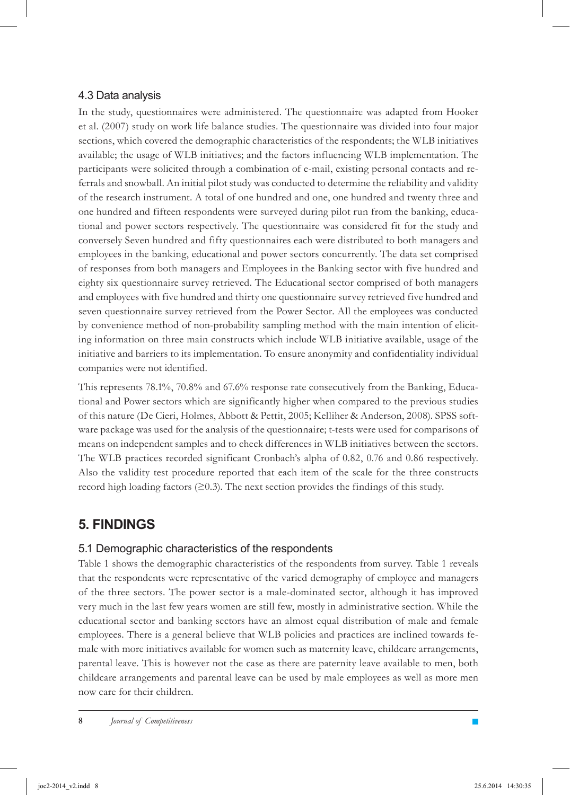### 4.3 Data analysis

In the study, questionnaires were administered. The questionnaire was adapted from Hooker et al. (2007) study on work life balance studies. The questionnaire was divided into four major sections, which covered the demographic characteristics of the respondents; the WLB initiatives available; the usage of WLB initiatives; and the factors influencing WLB implementation. The participants were solicited through a combination of e-mail, existing personal contacts and referrals and snowball. An initial pilot study was conducted to determine the reliability and validity of the research instrument. A total of one hundred and one, one hundred and twenty three and one hundred and fifteen respondents were surveyed during pilot run from the banking, educational and power sectors respectively. The questionnaire was considered fit for the study and conversely Seven hundred and fifty questionnaires each were distributed to both managers and employees in the banking, educational and power sectors concurrently. The data set comprised of responses from both managers and Employees in the Banking sector with five hundred and eighty six questionnaire survey retrieved. The Educational sector comprised of both managers and employees with five hundred and thirty one questionnaire survey retrieved five hundred and seven questionnaire survey retrieved from the Power Sector. All the employees was conducted by convenience method of non-probability sampling method with the main intention of eliciting information on three main constructs which include WLB initiative available, usage of the initiative and barriers to its implementation. To ensure anonymity and confidentiality individual companies were not identified.

This represents 78.1%, 70.8% and 67.6% response rate consecutively from the Banking, Educational and Power sectors which are significantly higher when compared to the previous studies of this nature (De Cieri, Holmes, Abbott & Pettit, 2005; Kelliher & Anderson, 2008). SPSS software package was used for the analysis of the questionnaire; t-tests were used for comparisons of means on independent samples and to check differences in WLB initiatives between the sectors. The WLB practices recorded significant Cronbach's alpha of 0.82, 0.76 and 0.86 respectively. Also the validity test procedure reported that each item of the scale for the three constructs record high loading factors (≥0.3). The next section provides the findings of this study.

# **5. Findings**

### 5.1 Demographic characteristics of the respondents

Table 1 shows the demographic characteristics of the respondents from survey. Table 1 reveals that the respondents were representative of the varied demography of employee and managers of the three sectors. The power sector is a male-dominated sector, although it has improved very much in the last few years women are still few, mostly in administrative section. While the educational sector and banking sectors have an almost equal distribution of male and female employees. There is a general believe that WLB policies and practices are inclined towards female with more initiatives available for women such as maternity leave, childcare arrangements, parental leave. This is however not the case as there are paternity leave available to men, both childcare arrangements and parental leave can be used by male employees as well as more men now care for their children.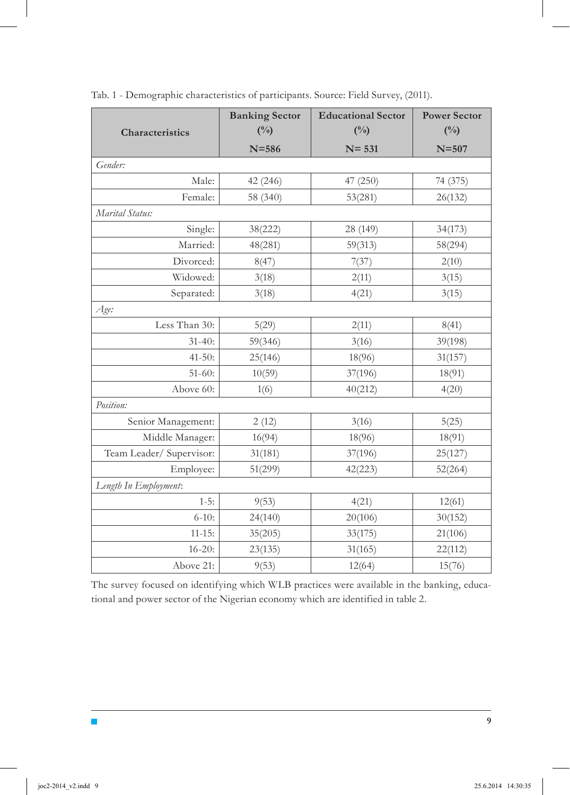| Characteristics          | <b>Banking Sector</b><br>$(^{0}/_{0})$ | <b>Educational Sector</b><br>$(^{0}_{0})$ | <b>Power Sector</b><br>$(^{0}_{0})$<br>$N=507$ |  |
|--------------------------|----------------------------------------|-------------------------------------------|------------------------------------------------|--|
|                          | $N = 586$                              | $N = 531$                                 |                                                |  |
| Gender:                  |                                        |                                           |                                                |  |
| Male:                    | 42 (246)                               | 47 (250)                                  | 74 (375)                                       |  |
| Female:                  | 58 (340)                               | 53(281)                                   | 26(132)                                        |  |
| Marital Status:          |                                        |                                           |                                                |  |
| Single:                  | 38(222)                                | 28 (149)                                  | 34(173)                                        |  |
| Married:                 | 48(281)                                | 59(313)                                   | 58(294)                                        |  |
| Divorced:                | 8(47)                                  | 7(37)                                     | 2(10)                                          |  |
| Widowed:                 | 3(18)                                  | 2(11)                                     | 3(15)                                          |  |
| Separated:               | 3(18)                                  | 4(21)                                     | 3(15)                                          |  |
| Age:                     |                                        |                                           |                                                |  |
| Less Than 30:            | 5(29)                                  | 2(11)                                     | 8(41)                                          |  |
| $31 - 40:$               | 59(346)                                | 3(16)                                     | 39(198)                                        |  |
| $41 - 50$ :              | 25(146)                                | 18(96)                                    | 31(157)                                        |  |
| $51-60:$                 | 10(59)                                 | 37(196)                                   | 18(91)                                         |  |
| Above 60:                | 1(6)                                   | 40(212)                                   | 4(20)                                          |  |
| Position:                |                                        |                                           |                                                |  |
| Senior Management:       | 2(12)                                  | 3(16)                                     | 5(25)                                          |  |
| Middle Manager:          | 16(94)                                 | 18(96)                                    | 18(91)                                         |  |
| Team Leader/ Supervisor: | 31(181)                                | 37(196)                                   | 25(127)                                        |  |
| Employee:                | 51(299)                                | 42(223)                                   | 52(264)                                        |  |
| Length In Employment:    |                                        |                                           |                                                |  |
| $1-5:$                   | 9(53)                                  | 4(21)                                     | 12(61)                                         |  |
| $6-10:$                  | 24(140)                                | 20(106)                                   | 30(152)                                        |  |
| $11 - 15$ :              | 35(205)                                | 33(175)                                   | 21(106)                                        |  |
| $16 - 20$ :              | 23(135)                                | 31(165)                                   | 22(112)                                        |  |
| Above 21:                | 9(53)                                  | 12(64)                                    | 15(76)                                         |  |

Tab. 1 - Demographic characteristics of participants. Source: Field Survey, (2011).

The survey focused on identifying which WLB practices were available in the banking, educational and power sector of the Nigerian economy which are identified in table 2.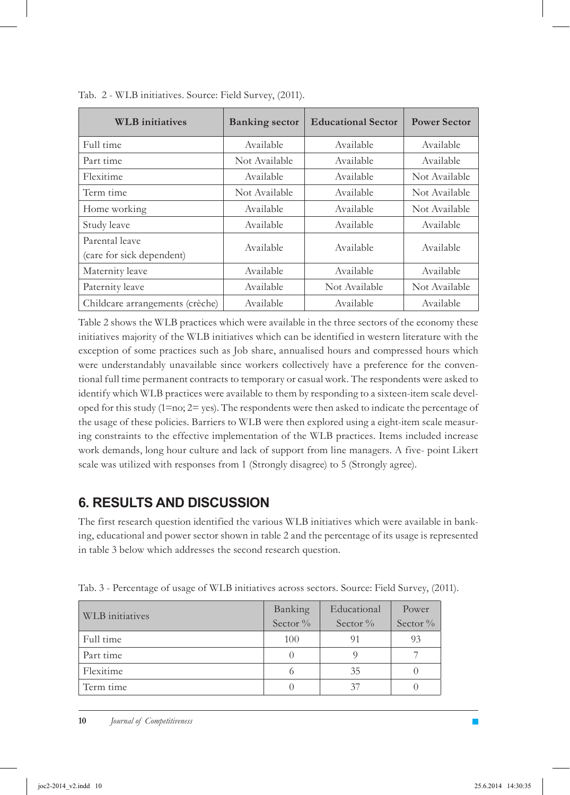| <b>WLB</b> initiatives                      | <b>Banking sector</b> | <b>Educational Sector</b> | <b>Power Sector</b> |
|---------------------------------------------|-----------------------|---------------------------|---------------------|
| Full time                                   | Available             | Available                 | Available           |
| Part time                                   | Not Available         | Available                 | Available           |
| Flexitime                                   | Available             | Available                 | Not Available       |
| Term time                                   | Not Available         | Available                 | Not Available       |
| Home working                                | Available             | Available                 | Not Available       |
| Study leave                                 | Available             | Available                 | Available           |
| Parental leave<br>(care for sick dependent) | Available             | Available                 | Available           |
| Maternity leave                             | Available             | Available                 | Available           |
| Paternity leave                             | Available             | Not Available             | Not Available       |
| Childcare arrangements (crèche)             | Available             | Available                 | Available           |

Tab. 2 - WLB initiatives. Source: Field Survey, (2011).

Table 2 shows the WLB practices which were available in the three sectors of the economy these initiatives majority of the WLB initiatives which can be identified in western literature with the exception of some practices such as Job share, annualised hours and compressed hours which were understandably unavailable since workers collectively have a preference for the conventional full time permanent contracts to temporary or casual work. The respondents were asked to identify which WLB practices were available to them by responding to a sixteen-item scale developed for this study  $(1\equiv no; 2\equiv yes)$ . The respondents were then asked to indicate the percentage of the usage of these policies. Barriers to WLB were then explored using a eight-item scale measuring constraints to the effective implementation of the WLB practices. Items included increase work demands, long hour culture and lack of support from line managers. A five- point Likert scale was utilized with responses from 1 (Strongly disagree) to 5 (Strongly agree).

# **6. Results and Discussion**

The first research question identified the various WLB initiatives which were available in banking, educational and power sector shown in table 2 and the percentage of its usage is represented in table 3 below which addresses the second research question.

|  |  |  |  | Tab. 3 - Percentage of usage of WLB initiatives across sectors. Source: Field Survey, (2011). |  |
|--|--|--|--|-----------------------------------------------------------------------------------------------|--|
|  |  |  |  |                                                                                               |  |

| <b>WLB</b> initiatives | Banking     | Educational | Power       |  |
|------------------------|-------------|-------------|-------------|--|
|                        | Sector $\%$ | Sector $\%$ | Sector $\%$ |  |
| Full time              | 100         | 91          | 93          |  |
| Part time              |             |             |             |  |
| Flexitime              | $\Omega$    | 35          |             |  |
| Term time              |             | 37          |             |  |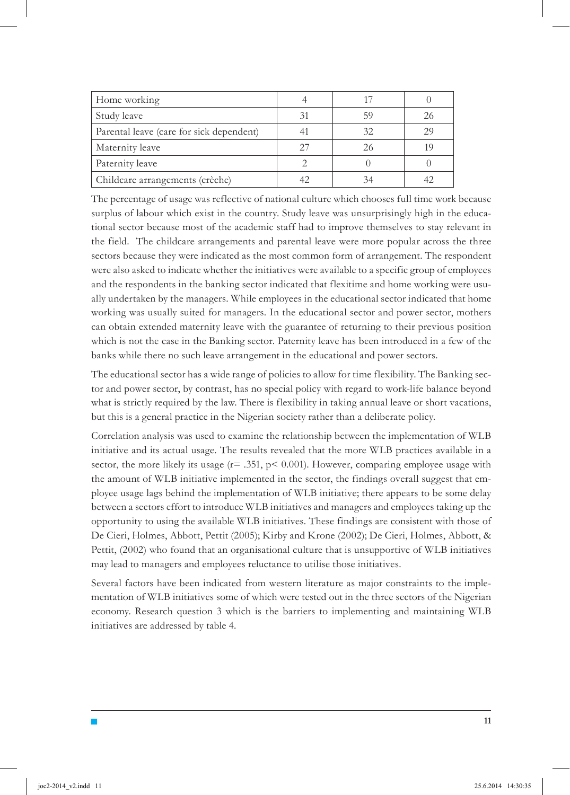| Home working                             |    |    |    |
|------------------------------------------|----|----|----|
| Study leave                              | 31 | 59 | 26 |
| Parental leave (care for sick dependent) | 41 | 32 | 29 |
| Maternity leave                          | 27 |    | 19 |
| Paternity leave                          |    |    |    |
| Childcare arrangements (crèche)          | 42 |    | 42 |

The percentage of usage was reflective of national culture which chooses full time work because surplus of labour which exist in the country. Study leave was unsurprisingly high in the educational sector because most of the academic staff had to improve themselves to stay relevant in the field. The childcare arrangements and parental leave were more popular across the three sectors because they were indicated as the most common form of arrangement. The respondent were also asked to indicate whether the initiatives were available to a specific group of employees and the respondents in the banking sector indicated that flexitime and home working were usually undertaken by the managers. While employees in the educational sector indicated that home working was usually suited for managers. In the educational sector and power sector, mothers can obtain extended maternity leave with the guarantee of returning to their previous position which is not the case in the Banking sector. Paternity leave has been introduced in a few of the banks while there no such leave arrangement in the educational and power sectors.

The educational sector has a wide range of policies to allow for time flexibility. The Banking sector and power sector, by contrast, has no special policy with regard to work-life balance beyond what is strictly required by the law. There is flexibility in taking annual leave or short vacations, but this is a general practice in the Nigerian society rather than a deliberate policy.

Correlation analysis was used to examine the relationship between the implementation of WLB initiative and its actual usage. The results revealed that the more WLB practices available in a sector, the more likely its usage  $(r = .351, p < 0.001)$ . However, comparing employee usage with the amount of WLB initiative implemented in the sector, the findings overall suggest that employee usage lags behind the implementation of WLB initiative; there appears to be some delay between a sectors effort to introduce WLB initiatives and managers and employees taking up the opportunity to using the available WLB initiatives. These findings are consistent with those of De Cieri, Holmes, Abbott, Pettit (2005); Kirby and Krone (2002); De Cieri, Holmes, Abbott, & Pettit, (2002) who found that an organisational culture that is unsupportive of WLB initiatives may lead to managers and employees reluctance to utilise those initiatives.

Several factors have been indicated from western literature as major constraints to the implementation of WLB initiatives some of which were tested out in the three sectors of the Nigerian economy. Research question 3 which is the barriers to implementing and maintaining WLB initiatives are addressed by table 4.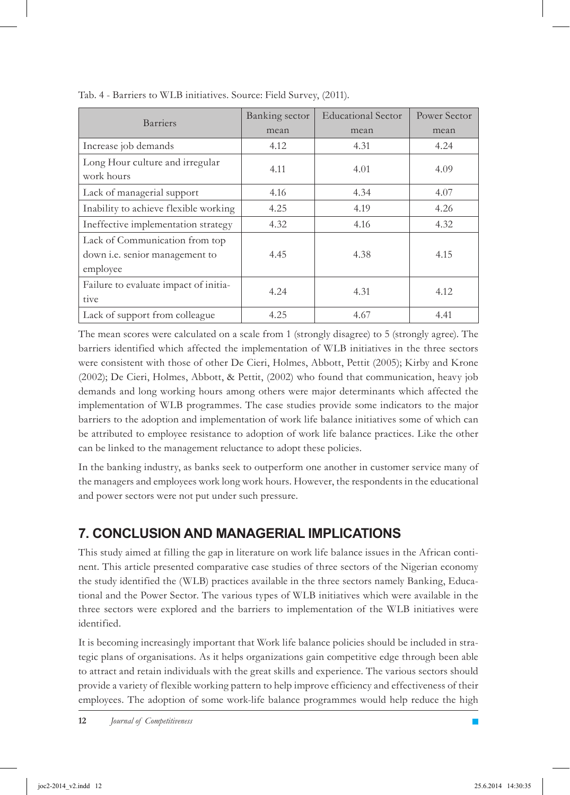| Barriers                                                                            | Banking sector | <b>Educational Sector</b> | Power Sector |
|-------------------------------------------------------------------------------------|----------------|---------------------------|--------------|
|                                                                                     | mean           | mean                      | mean         |
| Increase job demands                                                                | 4.12           | 4.31                      | 4.24         |
| Long Hour culture and irregular<br>work hours                                       | 4.11           | 4.01                      | 4.09         |
| Lack of managerial support                                                          | 4.16           | 4.34                      | 4.07         |
| Inability to achieve flexible working                                               | 4.25           | 4.19                      | 4.26         |
| Ineffective implementation strategy                                                 | 4.32           | 4.16                      | 4.32         |
| Lack of Communication from top<br>down <i>i.e.</i> senior management to<br>employee | 4.45           | 4.38                      | 4.15         |
| Failure to evaluate impact of initia-<br>tive                                       | 4.24           | 4.31                      | 4.12         |
| Lack of support from colleague                                                      | 4.25           | 4.67                      | 4.41         |

Tab. 4 - Barriers to WLB initiatives. Source: Field Survey, (2011).

The mean scores were calculated on a scale from 1 (strongly disagree) to 5 (strongly agree). The barriers identified which affected the implementation of WLB initiatives in the three sectors were consistent with those of other De Cieri, Holmes, Abbott, Pettit (2005); Kirby and Krone (2002); De Cieri, Holmes, Abbott, & Pettit, (2002) who found that communication, heavy job demands and long working hours among others were major determinants which affected the implementation of WLB programmes. The case studies provide some indicators to the major barriers to the adoption and implementation of work life balance initiatives some of which can be attributed to employee resistance to adoption of work life balance practices. Like the other can be linked to the management reluctance to adopt these policies.

In the banking industry, as banks seek to outperform one another in customer service many of the managers and employees work long work hours. However, the respondents in the educational and power sectors were not put under such pressure.

# **7. Conclusion and Managerial Implications**

This study aimed at filling the gap in literature on work life balance issues in the African continent. This article presented comparative case studies of three sectors of the Nigerian economy the study identified the (WLB) practices available in the three sectors namely Banking, Educational and the Power Sector. The various types of WLB initiatives which were available in the three sectors were explored and the barriers to implementation of the WLB initiatives were identified.

It is becoming increasingly important that Work life balance policies should be included in strategic plans of organisations. As it helps organizations gain competitive edge through been able to attract and retain individuals with the great skills and experience. The various sectors should provide a variety of flexible working pattern to help improve efficiency and effectiveness of their employees. The adoption of some work-life balance programmes would help reduce the high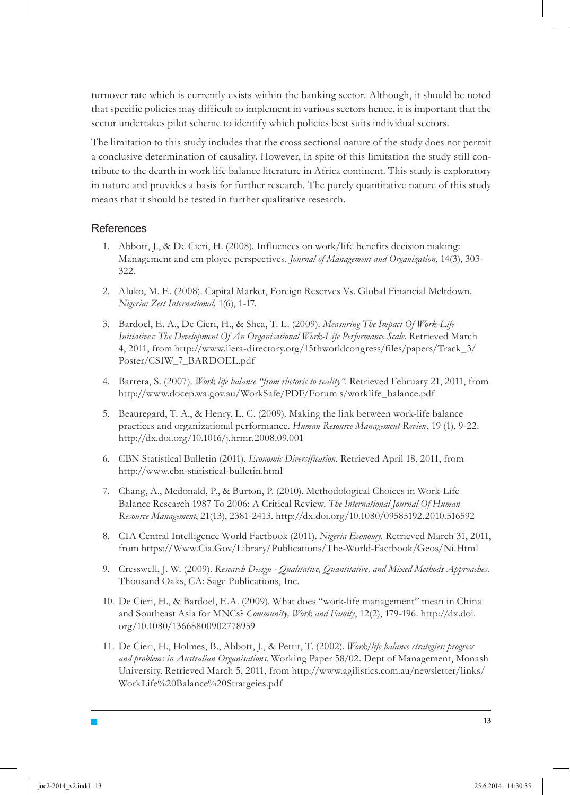turnover rate which is currently exists within the banking sector. Although, it should be noted that specific policies may difficult to implement in various sectors hence, it is important that the sector undertakes pilot scheme to identify which policies best suits individual sectors.

The limitation to this study includes that the cross sectional nature of the study does not permit a conclusive determination of causality. However, in spite of this limitation the study still contribute to the dearth in work life balance literature in Africa continent. This study is exploratory in nature and provides a basis for further research. The purely quantitative nature of this study means that it should be tested in further qualitative research.

#### **References**

- Abbott, J., & De Cieri, H. (2008). Influences on work/life benefits decision making: 1. Management and em ployee perspectives. *Journal of Management and Organization*, 14(3), 303- 322.
- Aluko, M. E. (2008). Capital Market, Foreign Reserves Vs. Global Financial Meltdown. 2. *Nigeria: Zest International,* 1(6), 1-17.
- Bardoel, E. A., De Cieri, H., & Shea, T. L. (2009). *Measuring The Impact Of Work-Life*  3. *Initiatives: The Development Of An Organisational Work-Life Performance Scale*. Retrieved March 4, 2011, from http://www.ilera-directory.org/15thworldcongress/files/papers/Track\_3/ Poster/CS1W\_7\_BARDOEL.pdf
- 4. Barrera, S. (2007). *Work life balance "from rhetoric to reality"*. Retrieved February 21, 2011, from http://www.docep.wa.gov.au/WorkSafe/PDF/Forum s/worklife\_balance.pdf
- 5. Beauregard, T. A., & Henry, L. C. (2009). Making the link between work-life balance practices and organizational performance. *Human Resource Management Review*, 19 (1), 9-22. http://dx.doi.org/10.1016/j.hrmr.2008.09.001
- CBN Statistical Bulletin (2011). *Economic Diversification*. Retrieved April 18, 2011, from 6. http://www.cbn-statistical-bulletin.html
- 7. Chang, A., Mcdonald, P., & Burton, P. (2010). Methodological Choices in Work-Life Balance Research 1987 To 2006: A Critical Review. *The International Journal Of Human Resource Management*, 21(13), 2381-2413. http://dx.doi.org/10.1080/09585192.2010.516592
- CIA Central Intelligence World Factbook (2011). *Nigeria Economy.* Retrieved March 31, 2011, 8. from https://Www.Cia.Gov/Library/Publications/The-World-Factbook/Geos/Ni.Html
- 9. Cresswell, J. W. (2009). Research Design Qualitative, Quantitative, and Mixed Methods Approaches. Thousand Oaks, CA: Sage Publications, Inc.
- 10. De Cieri, H., & Bardoel, E.A. (2009). What does "work-life management" mean in China and Southeast Asia for MNCs? *Community, Work and Family*, 12(2), 179-196. http://dx.doi. org/10.1080/13668800902778959
- De Cieri, H., Holmes, B., Abbott, J., & Pettit, T. (2002). *Work/life balance strategies: progress*  11. *and problems in Australian Organisations*. Working Paper 58/02. Dept of Management, Monash University. Retrieved March 5, 2011, from http://www.agilistics.com.au/newsletter/links/ WorkLife%20Balance%20Stratgeies.pdf